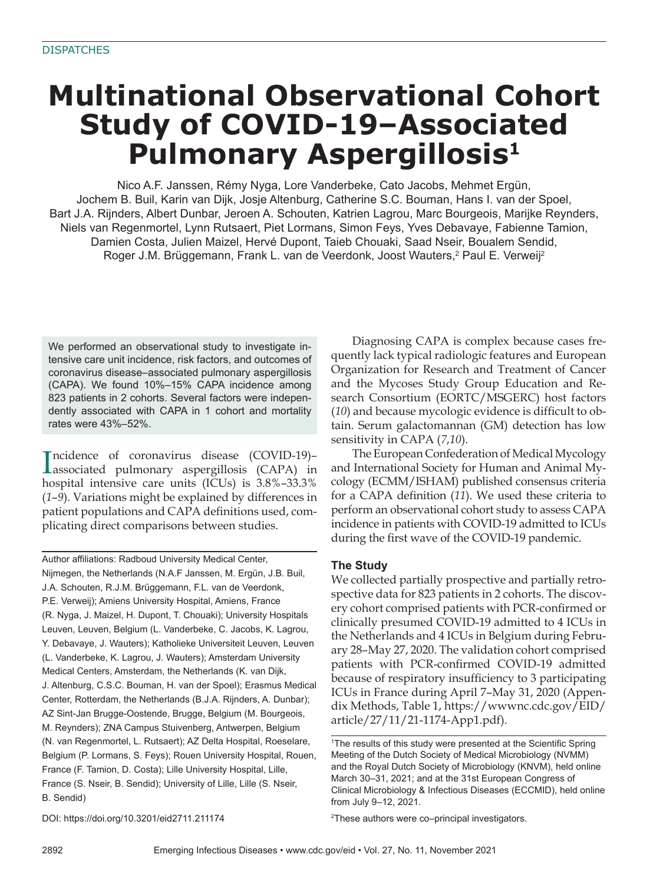# **Multinational Observational Cohort Study of COVID-19–Associated Pulmonary Aspergillosis1**

Nico A.F. Janssen, Rémy Nyga, Lore Vanderbeke, Cato Jacobs, Mehmet Ergün, Jochem B. Buil, Karin van Dijk, Josje Altenburg, Catherine S.C. Bouman, Hans I. van der Spoel, Bart J.A. Rijnders, Albert Dunbar, Jeroen A. Schouten, Katrien Lagrou, Marc Bourgeois, Marijke Reynders, Niels van Regenmortel, Lynn Rutsaert, Piet Lormans, Simon Feys, Yves Debavaye, Fabienne Tamion, Damien Costa, Julien Maizel, Hervé Dupont, Taieb Chouaki, Saad Nseir, Boualem Sendid, Roger J.M. Brüggemann, Frank L. van de Veerdonk, Joost Wauters,<sup>2</sup> Paul E. Verweij<sup>2</sup>

We performed an observational study to investigate intensive care unit incidence, risk factors, and outcomes of coronavirus disease–associated pulmonary aspergillosis (CAPA). We found 10%–15% CAPA incidence among 823 patients in 2 cohorts. Several factors were independently associated with CAPA in 1 cohort and mortality rates were 43%-52%.

Incidence of coronavirus disease (COVID-19)-<br>associated pulmonary aspergillosis (CAPA) in ncidence of coronavirus disease (COVID-19)– hospital intensive care units (ICUs) is 3.8%–33.3% (*1*–*9*). Variations might be explained by differences in patient populations and CAPA definitions used, complicating direct comparisons between studies.

Author affiliations: Radboud University Medical Center, Nijmegen, the Netherlands (N.A.F Janssen, M. Ergün, J.B. Buil, J.A. Schouten, R.J.M. Brüggemann, F.L. van de Veerdonk, P.E. Verweij); Amiens University Hospital, Amiens, France (R. Nyga, J. Maizel, H. Dupont, T. Chouaki); University Hospitals Leuven, Leuven, Belgium (L. Vanderbeke, C. Jacobs, K. Lagrou, Y. Debavaye, J. Wauters); Katholieke Universiteit Leuven, Leuven (L. Vanderbeke, K. Lagrou, J. Wauters); Amsterdam University Medical Centers, Amsterdam, the Netherlands (K. van Dijk, J. Altenburg, C.S.C. Bouman, H. van der Spoel); Erasmus Medical Center, Rotterdam, the Netherlands (B.J.A. Rijnders, A. Dunbar); AZ Sint-Jan Brugge-Oostende, Brugge, Belgium (M. Bourgeois, M. Reynders); ZNA Campus Stuivenberg, Antwerpen, Belgium (N. van Regenmortel, L. Rutsaert); AZ Delta Hospital, Roeselare, Belgium (P. Lormans, S. Feys); Rouen University Hospital, Rouen, France (F. Tamion, D. Costa); Lille University Hospital, Lille, France (S. Nseir, B. Sendid); University of Lille, Lille (S. Nseir, B. Sendid)

Diagnosing CAPA is complex because cases frequently lack typical radiologic features and European Organization for Research and Treatment of Cancer and the Mycoses Study Group Education and Research Consortium (EORTC/MSGERC) host factors (10) and because mycologic evidence is difficult to obtain. Serum galactomannan (GM) detection has low sensitivity in CAPA (*7*,*10*).

The European Confederation of Medical Mycology and International Society for Human and Animal Mycology (ECMM/ISHAM) published consensus criteria for a CAPA definition (11). We used these criteria to perform an observational cohort study to assess CAPA incidence in patients with COVID-19 admitted to ICUs during the first wave of the COVID-19 pandemic.

## **The Study**

We collected partially prospective and partially retrospective data for 823 patients in 2 cohorts. The discovery cohort comprised patients with PCR-confirmed or clinically presumed COVID-19 admitted to 4 ICUs in the Netherlands and 4 ICUs in Belgium during February 28–May 27, 2020. The validation cohort comprised patients with PCR-confirmed COVID-19 admitted because of respiratory insufficiency to 3 participating ICUs in France during April 7–May 31, 2020 (Appendix Methods, Table 1, https://wwwnc.cdc.gov/EID/ article/27/11/21-1174-App1.pdf).

DOI: https://doi.org/10.3201/eid2711.211174

<sup>2</sup>These authors were co–principal investigators.

<sup>&</sup>lt;sup>1</sup>The results of this study were presented at the Scientific Spring Meeting of the Dutch Society of Medical Microbiology (NVMM) and the Royal Dutch Society of Microbiology (KNVM), held online March 30-31, 2021; and at the 31st European Congress of Clinical Microbiology & Infectious Diseases (ECCMID), held online from July 9-12, 2021.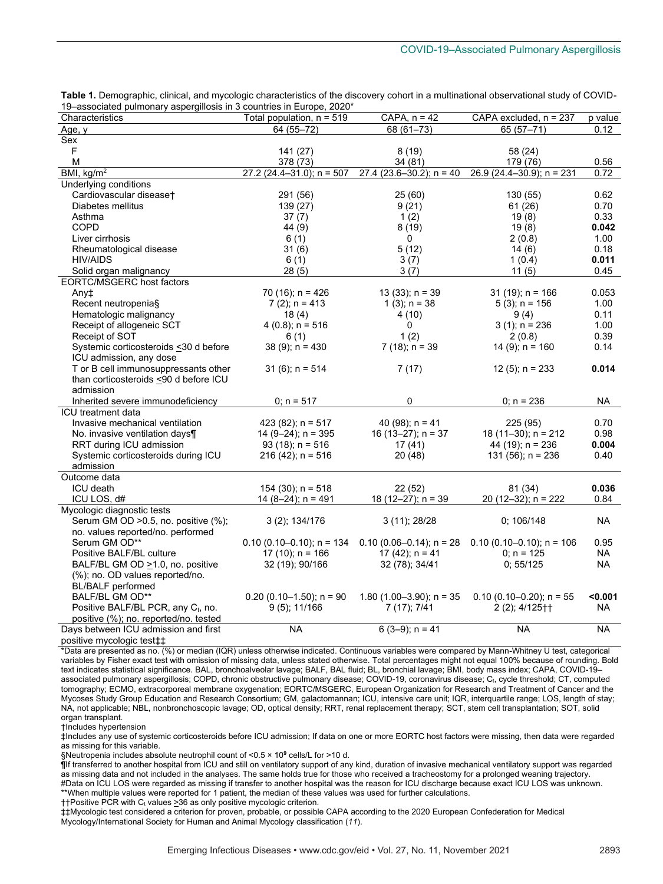| Characteristics                                | Total population, n = 519     | CAPA, $n = 42$               | CAPA excluded, n = 237      | p value   |
|------------------------------------------------|-------------------------------|------------------------------|-----------------------------|-----------|
| Age, y                                         | 64 (55-72)                    | 68 (61-73)                   | $65(57-71)$                 | 0.12      |
| Sex                                            |                               |                              |                             |           |
| F                                              | 141 (27)                      | 8(19)                        | 58 (24)                     |           |
| M                                              | 378 (73)                      | 34 (81)                      | 179 (76)                    | 0.56      |
| BMI, kg/m <sup>2</sup>                         | $27.2(24.4 - 31.0)$ ; n = 507 | 27.4 (23.6-30.2); $n = 40$   | 26.9 (24.4-30.9); $n = 231$ | 0.72      |
| Underlying conditions                          |                               |                              |                             |           |
| Cardiovascular diseaset                        | 291 (56)                      | 25(60)                       | 130 (55)                    | 0.62      |
| Diabetes mellitus                              | 139 (27)                      | 9(21)                        | 61 (26)                     | 0.70      |
| Asthma                                         | 37(7)                         | 1(2)                         | 19(8)                       | 0.33      |
| <b>COPD</b>                                    | 44 (9)                        | 8(19)                        | 19(8)                       | 0.042     |
| Liver cirrhosis                                | 6(1)                          | 0                            | 2(0.8)                      | 1.00      |
| Rheumatological disease                        | 31(6)                         | 5(12)                        | 14(6)                       | 0.18      |
| <b>HIV/AIDS</b>                                | 6(1)                          | 3(7)                         | 1(0.4)                      | 0.011     |
| Solid organ malignancy                         | 28(5)                         | 3(7)                         | 11(5)                       | 0.45      |
| EORTC/MSGERC host factors                      |                               |                              |                             |           |
| Any‡                                           | $70(16)$ ; n = 426            | $13(33)$ ; n = 39            | $31(19)$ ; n = 166          | 0.053     |
| Recent neutropenia§                            | $7(2)$ ; n = 413              | $1(3)$ ; n = 38              | $5(3)$ ; n = 156            | 1.00      |
| Hematologic malignancy                         | 18(4)                         | 4(10)                        | 9(4)                        | 0.11      |
| Receipt of allogeneic SCT                      | $4(0.8)$ ; n = 516            | 0                            | $3(1)$ ; n = 236            | 1.00      |
| Receipt of SOT                                 | 6(1)                          | 1(2)                         | 2(0.8)                      | 0.39      |
| Systemic corticosteroids <30 d before          | $38(9)$ ; n = 430             | $7(18)$ ; n = 39             | $14(9)$ ; n = 160           | 0.14      |
| ICU admission, any dose                        |                               |                              |                             |           |
| T or B cell immunosuppressants other           | $31(6)$ ; n = 514             | 7(17)                        | $12(5)$ ; n = 233           | 0.014     |
| than corticosteroids <90 d before ICU          |                               |                              |                             |           |
| admission                                      |                               |                              |                             |           |
| Inherited severe immunodeficiency              | $0; n = 517$                  | 0                            | $0: n = 236$                | NA.       |
| <b>ICU</b> treatment data                      |                               |                              |                             |           |
| Invasive mechanical ventilation                | 423 (82); $n = 517$           | 40 (98); $n = 41$            | 225 (95)                    | 0.70      |
| No. invasive ventilation days¶                 | $14 (9 - 24)$ ; n = 395       | 16 (13–27); $n = 37$         | $18(11-30)$ ; n = 212       | 0.98      |
| RRT during ICU admission                       | $93(18)$ ; n = 516            | 17(41)                       | 44 (19); $n = 236$          | 0.004     |
| Systemic corticosteroids during ICU            | $216(42)$ ; n = 516           | 20(48)                       | 131 $(56)$ ; n = 236        | 0.40      |
| admission                                      |                               |                              |                             |           |
| Outcome data                                   |                               |                              |                             |           |
| <b>ICU</b> death                               | $154(30)$ ; n = 518           | 22(52)                       | 81 (34)                     | 0.036     |
| ICU LOS, d#                                    | $14(8-24)$ ; n = 491          | 18 (12-27); $n = 39$         | 20 (12-32); $n = 222$       | 0.84      |
| Mycologic diagnostic tests                     |                               |                              |                             |           |
| Serum GM OD > 0.5, no. positive (%);           | $3(2)$ ; $134/176$            | 3(11); 28/28                 | 0; 106/148                  | <b>NA</b> |
| no. values reported/no. performed              |                               |                              |                             |           |
| Serum GM OD**                                  | $0.10(0.10-0.10)$ ; n = 134   | $0.10(0.06 - 0.14)$ ; n = 28 | $0.10(0.10-0.10); n = 106$  | 0.95      |
| Positive BALF/BL culture                       | $17(10)$ ; n = 166            | 17 (42); $n = 41$            | $0: n = 125$                | NA.       |
| BALF/BL GM OD >1.0, no. positive               | 32 (19); 90/166               | 32 (78); 34/41               | 0; 55/125                   | <b>NA</b> |
| (%); no. OD values reported/no.                |                               |                              |                             |           |
| <b>BL/BALF</b> performed                       |                               |                              |                             |           |
| BALF/BL GM OD**                                | $0.20(0.10-1.50)$ ; n = 90    | $1.80(1.00-3.90)$ ; n = 35   | $0.10(0.10-0.20)$ ; n = 55  | < 0.001   |
| Positive BALF/BL PCR, any C <sub>t</sub> , no. | $9(5)$ ; 11/166               | 7 (17); 7/41                 | $2(2)$ ; 4/125††            | <b>NA</b> |
| positive (%); no. reported/no. tested          |                               |                              |                             |           |
| Days between ICU admission and first           | <b>NA</b>                     | $6(3-9)$ ; n = 41            | <b>NA</b>                   | <b>NA</b> |
| positive mycologic test <sup>++</sup>          |                               |                              |                             |           |
|                                                |                               |                              |                             |           |

**Table 1.** Demographic, clinical, and mycologic characteristics of the discovery cohort in a multinational observational study of COVID-19–associated pulmonary aspergillosis in 3 countries in Europe, 2020\*

\*Data are presented as no. (%) or median (IQR) unless otherwise indicated. Continuous variables were compared by Mann-Whitney U test, categorical variables by Fisher exact test with omission of missing data, unless stated otherwise. Total percentages might not equal 100% because of rounding. Bold text indicates statistical significance. BAL, bronchoalveolar lavage; BALF, BAL fluid; BL, bronchial lavage; BMI, body mass index; CAPA, COVID-19– associated pulmonary aspergillosis; COPD, chronic obstructive pulmonary disease; COVID-19, coronavirus disease; Ct, cycle threshold; CT, computed tomography; ECMO, extracorporeal membrane oxygenation; EORTC/MSGERC, European Organization for Research and Treatment of Cancer and the Mycoses Study Group Education and Research Consortium; GM, galactomannan; ICU, intensive care unit; IQR, interquartile range; LOS, length of stay; NA, not applicable; NBL, nonbronchoscopic lavage; OD, optical density; RRT, renal replacement therapy; SCT, stem cell transplantation; SOT, solid organ transplant.

†Includes hypertension

‡Includes any use of systemic corticosteroids before ICU admission; If data on one or more EORTC host factors were missing, then data were regarded as missing for this variable.

§Neutropenia includes absolute neutrophil count of <0.5 × 10<sup>9</sup> cells/L for >10 d.

¶If transferred to another hospital from ICU and still on ventilatory support of any kind, duration of invasive mechanical ventilatory support was regarded as missing data and not included in the analyses. The same holds true for those who received a tracheostomy for a prolonged weaning trajectory. #Data on ICU LOS were regarded as missing if transfer to another hospital was the reason for ICU discharge because exact ICU LOS was unknown.

\*\*When multiple values were reported for 1 patient, the median of these values was used for further calculations.

††Positive PCR with Ct values >36 as only positive mycologic criterion.

‡‡Mycologic test considered a criterion for proven, probable, or possible CAPA according to the 2020 European Confederation for Medical Mycology/International Society for Human and Animal Mycology classification (*11*).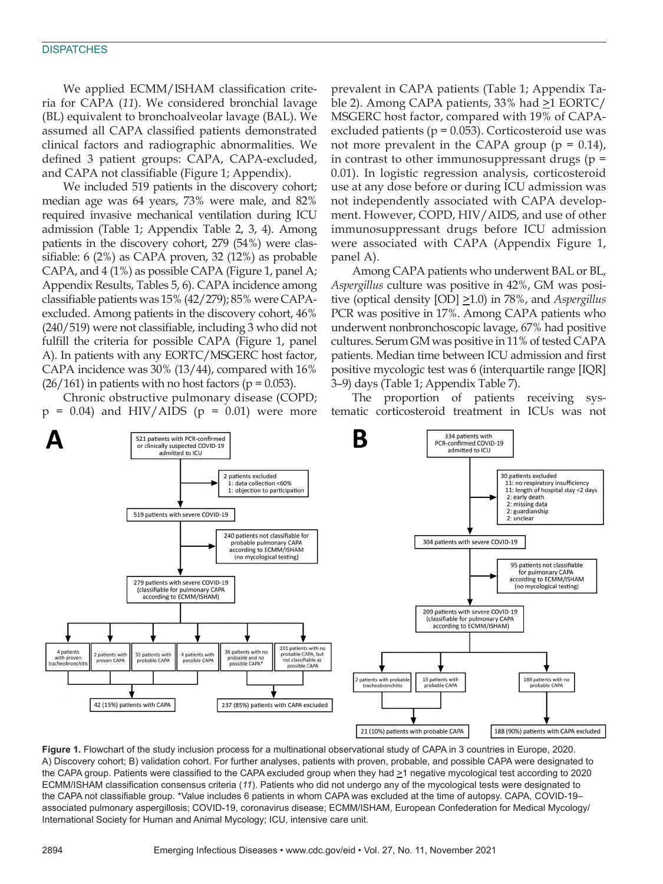#### **DISPATCHES**

We applied ECMM/ISHAM classification criteria for CAPA (*11*). We considered bronchial lavage (BL) equivalent to bronchoalveolar lavage (BAL). We assumed all CAPA classified patients demonstrated clinical factors and radiographic abnormalities. We defined 3 patient groups: CAPA, CAPA-excluded, and CAPA not classifiable (Figure 1; Appendix).

We included 519 patients in the discovery cohort; median age was 64 years, 73% were male, and 82% required invasive mechanical ventilation during ICU admission (Table 1; Appendix Table 2, 3, 4). Among patients in the discovery cohort, 279 (54%) were classifiable: 6 (2%) as CAPA proven, 32 (12%) as probable CAPA, and 4 (1%) as possible CAPA (Figure 1, panel A; Appendix Results, Tables 5, 6). CAPA incidence among classifiable patients was 15% (42/279); 85% were CAPAexcluded. Among patients in the discovery cohort, 46% (240/519) were not classifiable, including 3 who did not fulfill the criteria for possible CAPA (Figure 1, panel A). In patients with any EORTC/MSGERC host factor, CAPA incidence was 30% (13/44), compared with 16%  $(26/161)$  in patients with no host factors ( $p = 0.053$ ).

Chronic obstructive pulmonary disease (COPD;  $p = 0.04$ ) and HIV/AIDS ( $p = 0.01$ ) were more prevalent in CAPA patients (Table 1; Appendix Table 2). Among CAPA patients, 33% had  $\geq$ 1 EORTC/ MSGERC host factor, compared with 19% of CAPAexcluded patients ( $p = 0.053$ ). Corticosteroid use was not more prevalent in the CAPA group ( $p = 0.14$ ), in contrast to other immunosuppressant drugs (p = 0.01). In logistic regression analysis, corticosteroid use at any dose before or during ICU admission was not independently associated with CAPA development. However, COPD, HIV/AIDS, and use of other immunosuppressant drugs before ICU admission were associated with CAPA (Appendix Figure 1, panel A).

Among CAPA patients who underwent BAL or BL, *Aspergillus* culture was positive in 42%, GM was positive (optical density [OD] >1.0) in 78%, and *Aspergillus* PCR was positive in 17%. Among CAPA patients who underwent nonbronchoscopic lavage, 67% had positive cultures. Serum GM was positive in 11% of tested CAPA patients. Median time between ICU admission and first positive mycologic test was 6 (interquartile range [IQR] 3–9) days (Table 1; Appendix Table 7).

The proportion of patients receiving systematic corticosteroid treatment in ICUs was not



**Figure 1.** Flowchart of the study inclusion process for a multinational observational study of CAPA in 3 countries in Europe, 2020. A) Discovery cohort; B) validation cohort. For further analyses, patients with proven, probable, and possible CAPA were designated to the CAPA group. Patients were classified to the CAPA excluded group when they had  $\geq 1$  negative mycological test according to 2020 ECMM/ISHAM classification consensus criteria (*11*). Patients who did not undergo any of the mycological tests were designated to the CAPA not classifiable group. \*Value includes 6 patients in whom CAPA was excluded at the time of autopsy. CAPA, COVID-19– associated pulmonary aspergillosis; COVID-19, coronavirus disease; ECMM/ISHAM, European Confederation for Medical Mycology/ International Society for Human and Animal Mycology; ICU, intensive care unit.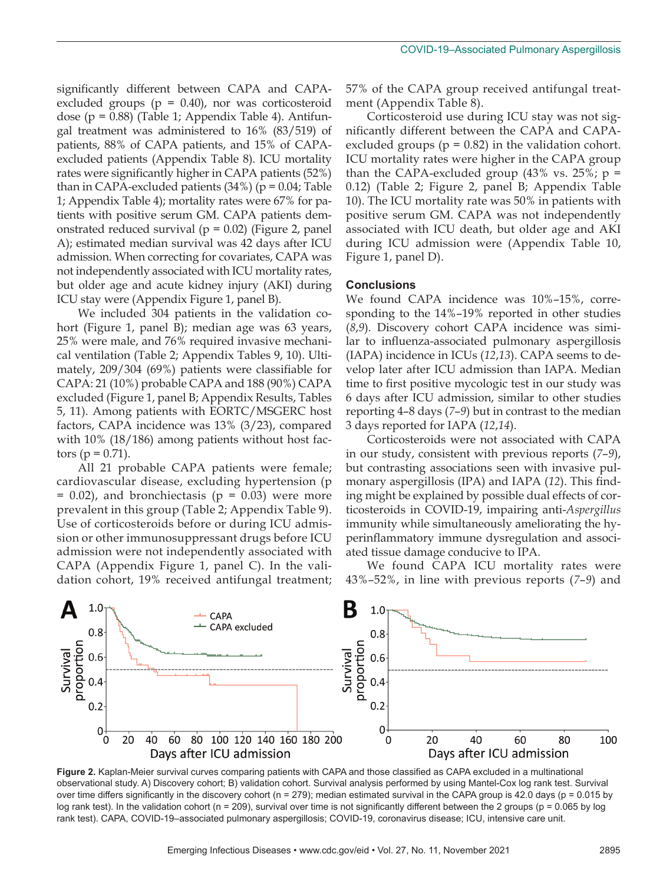significantly different between CAPA and CAPAexcluded groups ( $p = 0.40$ ), nor was corticosteroid dose (p = 0.88) (Table 1; Appendix Table 4). Antifungal treatment was administered to 16% (83/519) of patients, 88% of CAPA patients, and 15% of CAPAexcluded patients (Appendix Table 8). ICU mortality rates were significantly higher in CAPA patients (52%) than in CAPA-excluded patients  $(34%)$  (p = 0.04; Table 1; Appendix Table 4); mortality rates were 67% for patients with positive serum GM. CAPA patients demonstrated reduced survival ( $p = 0.02$ ) (Figure 2, panel A); estimated median survival was 42 days after ICU admission. When correcting for covariates, CAPA was not independently associated with ICU mortality rates, but older age and acute kidney injury (AKI) during ICU stay were (Appendix Figure 1, panel B).

We included 304 patients in the validation cohort (Figure 1, panel B); median age was 63 years, 25% were male, and 76% required invasive mechanical ventilation (Table 2; Appendix Tables 9, 10). Ultimately, 209/304 (69%) patients were classifiable for CAPA: 21 (10%) probable CAPA and 188 (90%) CAPA excluded (Figure 1, panel B; Appendix Results, Tables 5, 11). Among patients with EORTC/MSGERC host factors, CAPA incidence was 13% (3/23), compared with 10% (18/186) among patients without host factors ( $p = 0.71$ ).

All 21 probable CAPA patients were female; cardiovascular disease, excluding hypertension (p  $= 0.02$ ), and bronchiectasis ( $p = 0.03$ ) were more prevalent in this group (Table 2; Appendix Table 9). Use of corticosteroids before or during ICU admission or other immunosuppressant drugs before ICU admission were not independently associated with CAPA (Appendix Figure 1, panel C). In the validation cohort, 19% received antifungal treatment;

57% of the CAPA group received antifungal treatment (Appendix Table 8).

Corticosteroid use during ICU stay was not significantly different between the CAPA and CAPAexcluded groups ( $p = 0.82$ ) in the validation cohort. ICU mortality rates were higher in the CAPA group than the CAPA-excluded group  $(43\% \text{ vs. } 25\%; \text{ p} =$ 0.12) (Table 2; Figure 2, panel B; Appendix Table 10). The ICU mortality rate was 50% in patients with positive serum GM. CAPA was not independently associated with ICU death, but older age and AKI during ICU admission were (Appendix Table 10, Figure 1, panel D).

#### **Conclusions**

We found CAPA incidence was 10%–15%, corresponding to the 14%–19% reported in other studies (*8*,*9*). Discovery cohort CAPA incidence was similar to influenza-associated pulmonary aspergillosis (IAPA) incidence in ICUs (*12*,*13*). CAPA seems to develop later after ICU admission than IAPA. Median time to first positive mycologic test in our study was 6 days after ICU admission, similar to other studies reporting 4–8 days (*7*–*9*) but in contrast to the median 3 days reported for IAPA (*12*,*14*).

Corticosteroids were not associated with CAPA in our study, consistent with previous reports (*7*–*9*), but contrasting associations seen with invasive pulmonary aspergillosis (IPA) and IAPA (*12*). This finding might be explained by possible dual effects of corticosteroids in COVID-19, impairing anti-*Aspergillus* immunity while simultaneously ameliorating the hyperinflammatory immune dysregulation and associated tissue damage conducive to IPA.

We found CAPA ICU mortality rates were 43%–52%, in line with previous reports (*7*–*9*) and



**Figure 2.** Kaplan-Meier survival curves comparing patients with CAPA and those classified as CAPA excluded in a multinational observational study. A) Discovery cohort; B) validation cohort. Survival analysis performed by using Mantel-Cox log rank test. Survival over time differs significantly in the discovery cohort ( $n = 279$ ); median estimated survival in the CAPA group is 42.0 days ( $p = 0.015$  by log rank test). In the validation cohort (n = 209), survival over time is not significantly different between the 2 groups (p = 0.065 by log rank test). CAPA, COVID-19–associated pulmonary aspergillosis; COVID-19, coronavirus disease; ICU, intensive care unit.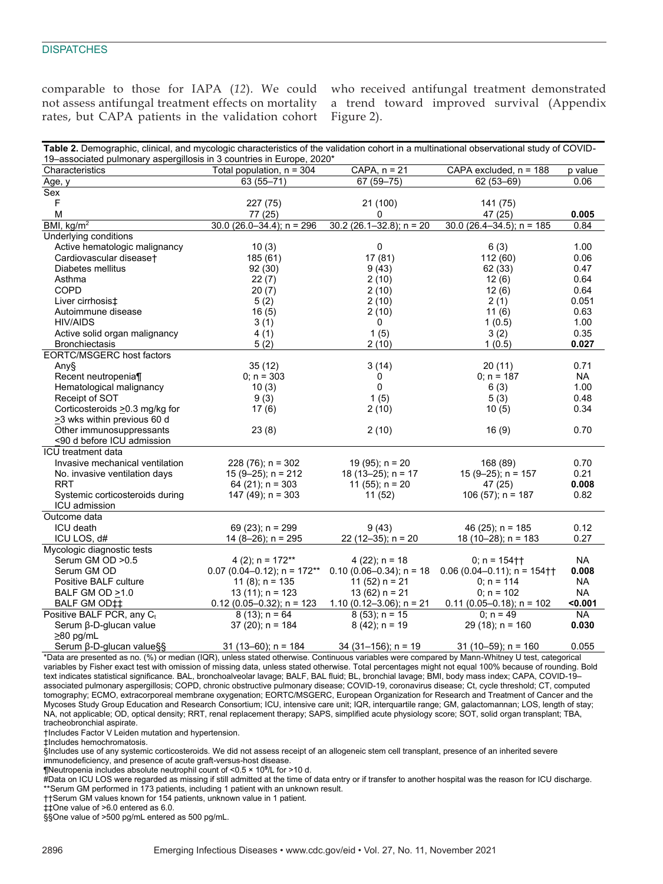#### **DISPATCHES**

rates, but CAPA patients in the validation cohort Figure 2).

comparable to those for IAPA (*12*). We could who received antifungal treatment demonstrated not assess antifungal treatment effects on mortality a trend toward improved survival (Appendix

| Table 2. Demographic, clinical, and mycologic characteristics of the validation cohort in a multinational observational study of COVID- |
|-----------------------------------------------------------------------------------------------------------------------------------------|
|                                                                                                                                         |
| 19–associated pulmonary aspergillosis in 3 countries in Europe, 2020*                                                                   |

| Characteristics                       | Total population, n = 304     | $CAPA, n = 21$               | CAPA excluded, n = 188        | p value   |
|---------------------------------------|-------------------------------|------------------------------|-------------------------------|-----------|
| Age, y                                | 63 (55-71)                    | $67(59 - 75)$                | 62 (53-69)                    | 0.06      |
| Sex                                   |                               |                              |                               |           |
| F                                     | 227 (75)                      | 21 (100)                     | 141 (75)                      |           |
| M                                     | 77 (25)                       | 0                            | 47 (25)                       | 0.005     |
| BMI, $\text{kg/m}^2$                  | $30.0$ (26.0-34.4); n = 296   | $30.2$ (26.1-32.8); n = 20   | $30.0$ (26.4-34.5); n = 185   | 0.84      |
| Underlying conditions                 |                               |                              |                               |           |
| Active hematologic malignancy         | 10(3)                         | 0                            | 6(3)                          | 1.00      |
| Cardiovascular diseaset               | 185 (61)                      | 17 (81)                      | 112(60)                       | 0.06      |
| Diabetes mellitus                     | 92(30)                        | 9(43)                        | 62 (33)                       | 0.47      |
| Asthma                                | 22(7)                         | 2(10)                        | 12(6)                         | 0.64      |
| <b>COPD</b>                           | 20(7)                         | 2(10)                        | 12(6)                         | 0.64      |
| Liver cirrhosis‡                      | 5(2)                          | 2(10)                        | 2(1)                          | 0.051     |
| Autoimmune disease                    | 16(5)                         | 2(10)                        | 11(6)                         | 0.63      |
| <b>HIV/AIDS</b>                       | 3(1)                          | $\mathbf 0$                  | 1(0.5)                        | 1.00      |
| Active solid organ malignancy         | 4(1)                          | 1(5)                         | 3(2)                          | 0.35      |
| <b>Bronchiectasis</b>                 | 5(2)                          | 2(10)                        | 1(0.5)                        | 0.027     |
| EORTC/MSGERC host factors             |                               |                              |                               |           |
| Any§                                  | 35(12)                        | 3(14)                        | 20(11)                        | 0.71      |
| Recent neutropenia¶                   | $0: n = 303$                  | 0                            | $0: n = 187$                  | <b>NA</b> |
| Hematological malignancy              | 10(3)                         | 0                            | 6(3)                          | 1.00      |
| Receipt of SOT                        | 9(3)                          | 1(5)                         | 5(3)                          | 0.48      |
| Corticosteroids > 0.3 mg/kg for       | 17(6)                         | 2(10)                        | 10(5)                         | 0.34      |
| >3 wks within previous 60 d           |                               |                              |                               |           |
| Other immunosuppressants              | 23(8)                         | 2(10)                        | 16(9)                         | 0.70      |
| <90 d before ICU admission            |                               |                              |                               |           |
| <b>ICU</b> treatment data             |                               |                              |                               |           |
| Invasive mechanical ventilation       | $228(76)$ ; n = 302           | 19 (95); $n = 20$            | 168 (89)                      | 0.70      |
| No. invasive ventilation days         | $15(9-25)$ ; n = 212          | 18 (13-25); $n = 17$         | $15(9-25)$ ; n = 157          | 0.21      |
| <b>RRT</b>                            | 64 (21); $n = 303$            | 11 (55); $n = 20$            | 47 (25)                       | 0.008     |
| Systemic corticosteroids during       | $147(49)$ ; n = 303           | 11(52)                       | $106(57)$ ; n = 187           | 0.82      |
| ICU admission                         |                               |                              |                               |           |
| Outcome data                          |                               |                              |                               |           |
| ICU death                             | 69 $(23)$ ; n = 299           | 9(43)                        | 46 (25); $n = 185$            | 0.12      |
| ICU LOS, d#                           | 14 (8-26); $n = 295$          | 22 (12-35); $n = 20$         | $18(10-28)$ ; n = 183         | 0.27      |
| Mycologic diagnostic tests            |                               |                              |                               |           |
| Serum GM OD > 0.5                     | 4 (2); $n = 172**$            | $4(22)$ ; n = 18             | $0: n = 154 +$                | <b>NA</b> |
| Serum GM OD                           | $0.07$ (0.04-0.12); n = 172** | $0.10(0.06 - 0.34)$ ; n = 18 | $0.06$ (0.04-0.11); n = 154†† | 0.008     |
| Positive BALF culture                 | 11 $(8)$ ; n = 135            | 11 $(52)$ n = 21             | $0: n = 114$                  | <b>NA</b> |
| BALF GM OD >1.0                       | $13(11)$ ; n = 123            | $13(62) n = 21$              | $0: n = 102$                  | NA.       |
| BALF GM OD‡‡                          | $0.12$ (0.05-0.32); n = 123   | 1.10 (0.12–3.06); $n = 21$   | $0.11(0.05 - 0.18)$ ; n = 102 | < 0.001   |
| Positive BALF PCR, any C <sub>t</sub> | $8(13)$ ; n = 64              | $8(53)$ ; n = 15             | $0: n = 49$                   | <b>NA</b> |
| Serum β-D-glucan value                | $37(20)$ ; n = 184            | $8(42)$ ; n = 19             | 29 (18); $n = 160$            | 0.030     |
| $\geq$ 80 pg/mL                       |                               |                              |                               |           |
| Serum β-D-glucan value§§              | $31(13-60)$ ; n = 184         | $34(31-156)$ ; n = 19        | 31 (10-59); $n = 160$         | 0.055     |

\*Data are presented as no. (%) or median (IQR), unless stated otherwise. Continuous variables were compared by Mann-Whitney U test, categorical variables by Fisher exact test with omission of missing data, unless stated otherwise. Total percentages might not equal 100% because of rounding. Bold text indicates statistical significance. BAL, bronchoalveolar lavage; BALF, BAL fluid; BL, bronchial lavage; BMI, body mass index; CAPA, COVID-19– associated pulmonary aspergillosis; COPD, chronic obstructive pulmonary disease; COVID-19, coronavirus disease; Ct, cycle threshold; CT, computed tomography; ECMO, extracorporeal membrane oxygenation; EORTC/MSGERC, European Organization for Research and Treatment of Cancer and the Mycoses Study Group Education and Research Consortium; ICU, intensive care unit; IQR, interquartile range; GM, galactomannan; LOS, length of stay; NA, not applicable; OD, optical density; RRT, renal replacement therapy; SAPS, simplified acute physiology score; SOT, solid organ transplant; TBA, tracheobronchial aspirate.

†Includes Factor V Leiden mutation and hypertension.

‡Includes hemochromatosis.

§Includes use of any systemic corticosteroids. We did not assess receipt of an allogeneic stem cell transplant, presence of an inherited severe

immunodeficiency, and presence of acute graft-versus-host disease.

¶Neutropenia includes absolute neutrophil count of <0.5 × 10**<sup>9</sup>** /L for >10 d. #Data on ICU LOS were regarded as missing if still admitted at the time of data entry or if transfer to another hospital was the reason for ICU discharge. \*\*Serum GM performed in 173 patients, including 1 patient with an unknown result.

††Serum GM values known for 154 patients, unknown value in 1 patient.

‡‡One value of >6.0 entered as 6.0.

§§One value of >500 pg/mL entered as 500 pg/mL.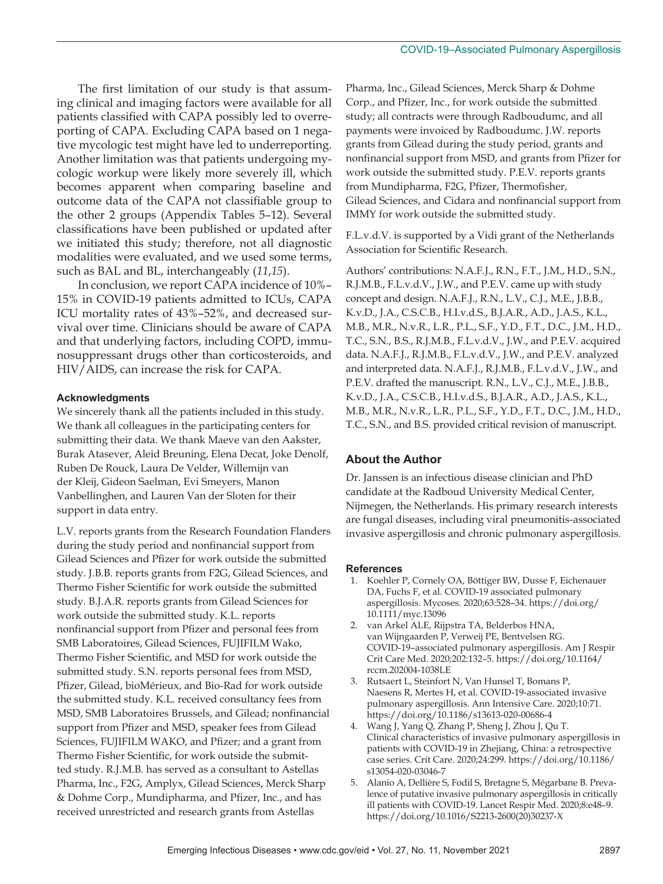The first limitation of our study is that assuming clinical and imaging factors were available for all patients classified with CAPA possibly led to overreporting of CAPA. Excluding CAPA based on 1 negative mycologic test might have led to underreporting. Another limitation was that patients undergoing mycologic workup were likely more severely ill, which becomes apparent when comparing baseline and outcome data of the CAPA not classifiable group to the other 2 groups (Appendix Tables 5–12). Several classifications have been published or updated after we initiated this study; therefore, not all diagnostic modalities were evaluated, and we used some terms, such as BAL and BL, interchangeably (*11*,*15*).

In conclusion, we report CAPA incidence of 10%– 15% in COVID-19 patients admitted to ICUs, CAPA ICU mortality rates of 43%–52%, and decreased survival over time. Clinicians should be aware of CAPA and that underlying factors, including COPD, immunosuppressant drugs other than corticosteroids, and HIV/AIDS, can increase the risk for CAPA.

### **Acknowledgments**

We sincerely thank all the patients included in this study. We thank all colleagues in the participating centers for submitting their data. We thank Maeve van den Aakster, Burak Atasever, Aleid Breuning, Elena Decat, Joke Denolf, Ruben De Rouck, Laura De Velder, Willemijn van der Kleij, Gideon Saelman, Evi Smeyers, Manon Vanbellinghen, and Lauren Van der Sloten for their support in data entry.

L.V. reports grants from the Research Foundation Flanders during the study period and nonfinancial support from Gilead Sciences and Pfizer for work outside the submitted study. J.B.B. reports grants from F2G, Gilead Sciences, and Thermo Fisher Scientific for work outside the submitted study. B.J.A.R. reports grants from Gilead Sciences for work outside the submitted study. K.L. reports nonfinancial support from Pfizer and personal fees from SMB Laboratoires, Gilead Sciences, FUJIFILM Wako, Thermo Fisher Scientific, and MSD for work outside the submitted study. S.N. reports personal fees from MSD, Pfizer, Gilead, bioMérieux, and Bio-Rad for work outside the submitted study. K.L. received consultancy fees from MSD, SMB Laboratoires Brussels, and Gilead; nonfinancial support from Pfizer and MSD, speaker fees from Gilead Sciences, FUJIFILM WAKO, and Pfizer; and a grant from Thermo Fisher Scientific, for work outside the submitted study. R.J.M.B. has served as a consultant to Astellas Pharma, Inc., F2G, Amplyx, Gilead Sciences, Merck Sharp & Dohme Corp., Mundipharma, and Pfizer, Inc., and has received unrestricted and research grants from Astellas

Pharma, Inc., Gilead Sciences, Merck Sharp & Dohme Corp., and Pfizer, Inc., for work outside the submitted study; all contracts were through Radboudumc, and all payments were invoiced by Radboudumc. J.W. reports grants from Gilead during the study period, grants and nonfinancial support from MSD, and grants from Pfizer for work outside the submitted study. P.E.V. reports grants from Mundipharma, F2G, Pfizer, Thermofisher, Gilead Sciences, and Cidara and nonfinancial support from IMMY for work outside the submitted study.

F.L.v.d.V. is supported by a Vidi grant of the Netherlands Association for Scientific Research.

Authors' contributions: N.A.F.J., R.N., F.T., J.M., H.D., S.N., R.J.M.B., F.L.v.d.V., J.W., and P.E.V. came up with study concept and design. N.A.F.J., R.N., L.V., C.J., M.E., J.B.B., K.v.D., J.A., C.S.C.B., H.I.v.d.S., B.J.A.R., A.D., J.A.S., K.L., M.B., M.R., N.v.R., L.R., P.L., S.F., Y.D., F.T., D.C., J.M., H.D., T.C., S.N., B.S., R.J.M.B., F.L.v.d.V., J.W., and P.E.V. acquired data. N.A.F.J., R.J.M.B., F.L.v.d.V., J.W., and P.E.V. analyzed and interpreted data. N.A.F.J., R.J.M.B., F.L.v.d.V., J.W., and P.E.V. drafted the manuscript. R.N., L.V., C.J., M.E., J.B.B., K.v.D., J.A., C.S.C.B., H.I.v.d.S., B.J.A.R., A.D., J.A.S., K.L., M.B., M.R., N.v.R., L.R., P.L., S.F., Y.D., F.T., D.C., J.M., H.D., T.C., S.N., and B.S. provided critical revision of manuscript.

## **About the Author**

Dr. Janssen is an infectious disease clinician and PhD candidate at the Radboud University Medical Center, Nijmegen, the Netherlands. His primary research interests are fungal diseases, including viral pneumonitis-associated invasive aspergillosis and chronic pulmonary aspergillosis.

#### **References**

- 1. Koehler P, Cornely OA, Böttiger BW, Dusse F, Eichenauer DA, Fuchs F, et al. COVID-19 associated pulmonary aspergillosis. Mycoses. 2020;63:528–34. https://doi.org/ 10.1111/myc.13096
- 2. van Arkel ALE, Rijpstra TA, Belderbos HNA, van Wijngaarden P, Verweij PE, Bentvelsen RG. COVID-19–associated pulmonary aspergillosis. Am J Respir Crit Care Med. 2020;202:132–5. https://doi.org/10.1164/ rccm.202004-1038LE
- 3. Rutsaert L, Steinfort N, Van Hunsel T, Bomans P, Naesens R, Mertes H, et al. COVID-19-associated invasive pulmonary aspergillosis. Ann Intensive Care. 2020;10:71. https://doi.org/10.1186/s13613-020-00686-4
- 4. Wang J, Yang Q, Zhang P, Sheng J, Zhou J, Qu T. Clinical characteristics of invasive pulmonary aspergillosis in patients with COVID-19 in Zhejiang, China: a retrospective case series. Crit Care. 2020;24:299. https://doi.org/10.1186/ s13054-020-03046-7
- 5. Alanio A, Dellière S, Fodil S, Bretagne S, Mégarbane B. Prevalence of putative invasive pulmonary aspergillosis in critically ill patients with COVID-19. Lancet Respir Med. 2020;8:e48–9. https://doi.org/10.1016/S2213-2600(20)30237-X